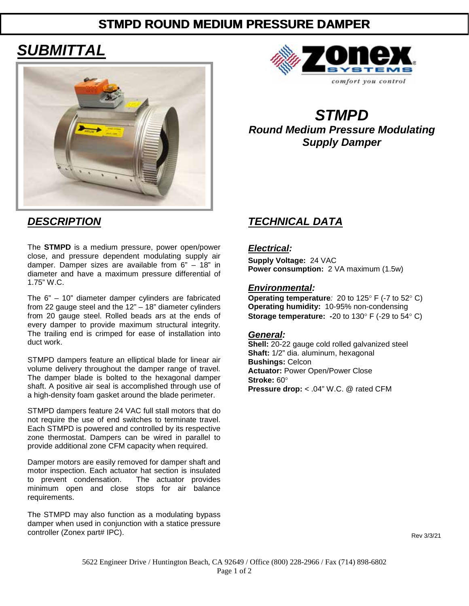# **STMPD ROUND MEDIUM PRESSURE DAMPER**

# *SUBMITTAL*





*STMPD Round Medium Pressure Modulating Supply Damper*

The **STMPD** is a medium pressure, power open/power close, and pressure dependent modulating supply air damper. Damper sizes are available from 6" – 18" in diameter and have a maximum pressure differential of 1.75" W.C.

The 6" – 10" diameter damper cylinders are fabricated from 22 gauge steel and the 12" – 18" diameter cylinders from 20 gauge steel. Rolled beads ars at the ends of every damper to provide maximum structural integrity. The trailing end is crimped for ease of installation into duct work.

STMPD dampers feature an elliptical blade for linear air volume delivery throughout the damper range of travel. The damper blade is bolted to the hexagonal damper shaft. A positive air seal is accomplished through use of a high-density foam gasket around the blade perimeter.

STMPD dampers feature 24 VAC full stall motors that do not require the use of end switches to terminate travel. Each STMPD is powered and controlled by its respective zone thermostat. Dampers can be wired in parallel to provide additional zone CFM capacity when required.

Damper motors are easily removed for damper shaft and motor inspection. Each actuator hat section is insulated<br>to prevent condensation. The actuator provides to prevent condensation. minimum open and close stops for air balance requirements.

The STMPD may also function as a modulating bypass damper when used in conjunction with a statice pressure controller (Zonex part# IPC).

# *DESCRIPTION TECHNICAL DATA*

### *Electrical:*

**Supply Voltage:** 24 VAC **Power consumption:** 2 VA maximum (1.5w)

### *Environmental:*

**Operating temperature***:* 20 to 125° F (-7 to 52° C) **Operating humidity:** 10-95% non-condensing **Storage temperature:** -20 to 130° F (-29 to 54° C)

#### *General:*

**Shell:** 20-22 gauge cold rolled galvanized steel **Shaft:** 1/2" dia. aluminum, hexagonal **Bushings:** Celcon **Actuator:** Power Open/Power Close **Stroke:** 60° **Pressure drop:** < .04" W.C. @ rated CFM